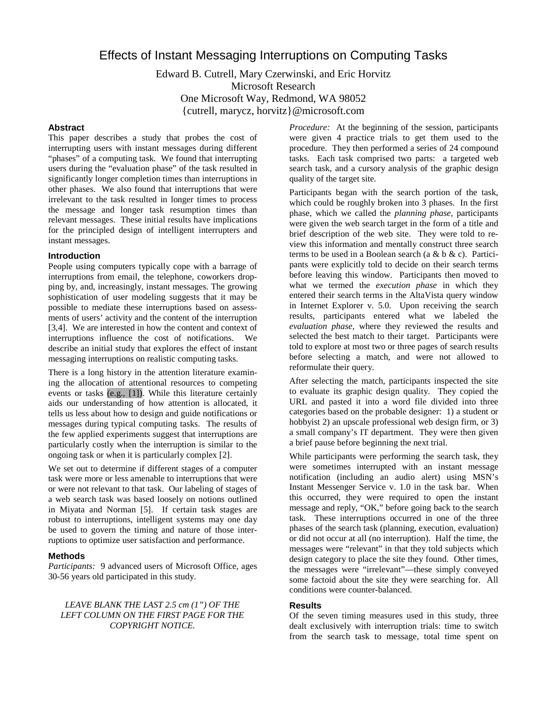# Effects of Instant Messaging Interruptions on Computing Tasks

Edward B. Cutrell, Mary Czerwinski, and Eric Horvitz Microsoft Research One Microsoft Way, Redmond, WA 98052 {cutrell, marycz, horvitz}@microsoft.com

# **Abstract**

This paper describes a study that probes the cost of interrupting users with instant messages during different "phases" of a computing task. We found that interrupting users during the "evaluation phase" of the task resulted in significantly longer completion times than interruptions in other phases. We also found that interruptions that were irrelevant to the task resulted in longer times to process the message and longer task resumption times than relevant messages. These initial results have implications for the principled design of intelligent interrupters and instant messages.

## **Introduction**

People using computers typically cope with a barrage of interruptions from email, the telephone, coworkers dropping by, and, increasingly, instant messages. The growing sophistication of user modeling suggests that it may be possible to mediate these interruptions based on assessments of users' activity and the content of the interruption [3,4]. We are interested in how the content and context of interruptions influence the cost of notifications. We describe an initial study that explores the effect of instant messaging interruptions on realistic computing tasks.

There is a long history in the attention literature examining the allocation of attentional resources to competing events or tasks (e.g., [1]). While this literature certainly aids our understanding of how attention is allocated, it tells us less about how to design and guide notifications or messages during typical computing tasks. The results of the few applied experiments suggest that interruptions are particularly costly when the interruption is similar to the ongoing task or when it is particularly complex [2].

We set out to determine if different stages of a computer task were more or less amenable to interruptions that were or were not relevant to that task. Our labeling of stages of a web search task was based loosely on notions outlined in Miyata and Norman [5]. If certain task stages are robust to interruptions, intelligent systems may one day be used to govern the timing and nature of those interruptions to optimize user satisfaction and performance.

## **Methods**

*Participants:* 9 advanced users of Microsoft Office, ages 30-56 years old participated in this study.

*LEAVE BLANK THE LAST 2.5 cm (1") OF THE LEFT COLUMN ON THE FIRST PAGE FOR THE COPYRIGHT NOTICE.*

*Procedure:* At the beginning of the session, participants were given 4 practice trials to get them used to the procedure. They then performed a series of 24 compound tasks. Each task comprised two parts: a targeted web search task, and a cursory analysis of the graphic design quality of the target site.

Participants began with the search portion of the task, which could be roughly broken into 3 phases. In the first phase, which we called the *planning phase*, participants were given the web search target in the form of a title and brief description of the web site. They were told to review this information and mentally construct three search terms to be used in a Boolean search (a & b & c). Participants were explicitly told to decide on their search terms before leaving this window. Participants then moved to what we termed the *execution phase* in which they entered their search terms in the AltaVista query window in Internet Explorer v. 5.0. Upon receiving the search results, participants entered what we labeled the *evaluation phase,* where they reviewed the results and selected the best match to their target. Participants were told to explore at most two or three pages of search results before selecting a match, and were not allowed to reformulate their query.

After selecting the match, participants inspected the site to evaluate its graphic design quality. They copied the URL and pasted it into a word file divided into three categories based on the probable designer: 1) a student or hobbyist 2) an upscale professional web design firm, or 3) a small company's IT department. They were then given a brief pause before beginning the next trial.

While participants were performing the search task, they were sometimes interrupted with an instant message notification (including an audio alert) using MSN's Instant Messenger Service v. 1.0 in the task bar. When this occurred, they were required to open the instant message and reply, "OK," before going back to the search task. These interruptions occurred in one of the three phases of the search task (planning, execution, evaluation) or did not occur at all (no interruption). Half the time, the messages were "relevant" in that they told subjects which design category to place the site they found. Other times, the messages were "irrelevant"—these simply conveyed some factoid about the site they were searching for. All conditions were counter-balanced.

#### **Results**

Of the seven timing measures used in this study, three dealt exclusively with interruption trials: time to switch from the search task to message, total time spent on